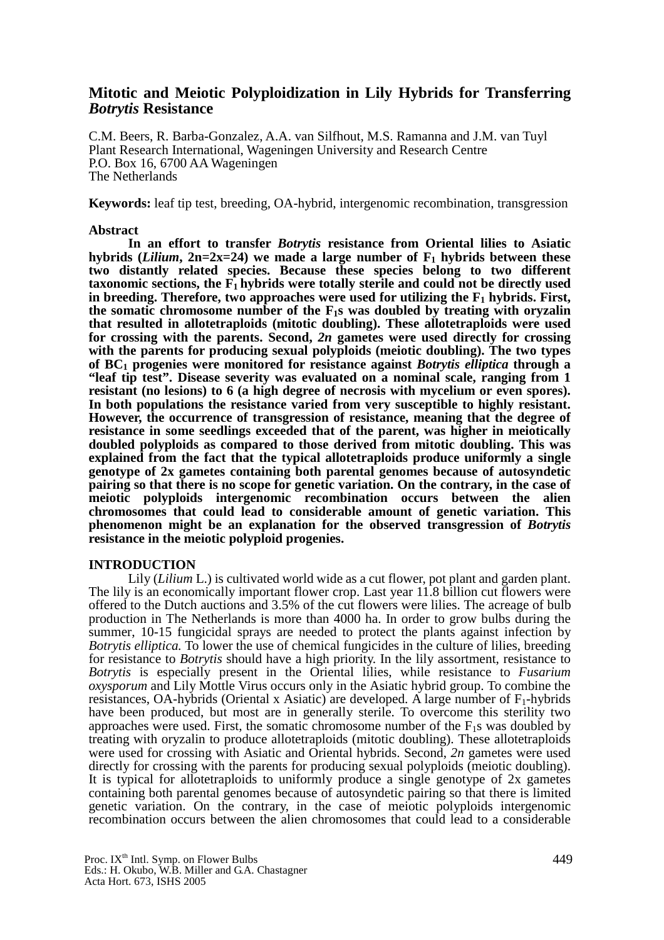## **Mitotic and Meiotic Polyploidization in Lily Hybrids for Transferring**  *Botrytis* **Resistance**

C.M. Beers, R. Barba-Gonzalez, A.A. van Silfhout, M.S. Ramanna and J.M. van Tuyl Plant Research International, Wageningen University and Research Centre P.O. Box 16, 6700 AA Wageningen The Netherlands

**Keywords:** leaf tip test, breeding, OA-hybrid, intergenomic recombination, transgression

## **Abstract**

**In an effort to transfer** *Botrytis* **resistance from Oriental lilies to Asiatic**  hybrids (*Lilium*,  $2n=2x=24$ ) we made a large number of  $F_1$  hybrids between these **two distantly related species. Because these species belong to two different**  taxonomic sections, the  $\tilde{F_1}$  hybrids were totally sterile and could not be directly used in breeding. Therefore, two approaches were used for utilizing the  $F_1$  hybrids. First, **the somatic chromosome number of the F1s was doubled by treating with oryzalin that resulted in allotetraploids (mitotic doubling). These allotetraploids were used for crossing with the parents. Second,** *2n* **gametes were used directly for crossing with the parents for producing sexual polyploids (meiotic doubling). The two types of BC1 progenies were monitored for resistance against** *Botrytis elliptica* **through a "leaf tip test". Disease severity was evaluated on a nominal scale, ranging from 1 resistant (no lesions) to 6 (a high degree of necrosis with mycelium or even spores). In both populations the resistance varied from very susceptible to highly resistant. However, the occurrence of transgression of resistance, meaning that the degree of resistance in some seedlings exceeded that of the parent, was higher in meiotically doubled polyploids as compared to those derived from mitotic doubling. This was explained from the fact that the typical allotetraploids produce uniformly a single genotype of 2x gametes containing both parental genomes because of autosyndetic pairing so that there is no scope for genetic variation. On the contrary, in the case of meiotic polyploids intergenomic recombination occurs between the alien chromosomes that could lead to considerable amount of genetic variation. This phenomenon might be an explanation for the observed transgression of** *Botrytis* **resistance in the meiotic polyploid progenies.** 

## **INTRODUCTION**

Lily *(Lilium L.)* is cultivated world wide as a cut flower, pot plant and garden plant. The lily is an economically important flower crop. Last year 11.8 billion cut flowers were offered to the Dutch auctions and 3.5% of the cut flowers were lilies. The acreage of bulb production in The Netherlands is more than 4000 ha. In order to grow bulbs during the summer, 10-15 fungicidal sprays are needed to protect the plants against infection by *Botrytis elliptica.* To lower the use of chemical fungicides in the culture of lilies, breeding for resistance to *Botrytis* should have a high priority. In the lily assortment, resistance to *Botrytis* is especially present in the Oriental lilies, while resistance to *Fusarium oxysporum* and Lily Mottle Virus occurs only in the Asiatic hybrid group. To combine the resistances, OA-hybrids (Oriental x Asiatic) are developed. A large number of  $F_1$ -hybrids have been produced, but most are in generally sterile. To overcome this sterility two approaches were used. First, the somatic chromosome number of the  $F_1$ s was doubled by treating with oryzalin to produce allotetraploids (mitotic doubling). These allotetraploids were used for crossing with Asiatic and Oriental hybrids. Second, *2n* gametes were used directly for crossing with the parents for producing sexual polyploids (meiotic doubling). It is typical for allotetraploids to uniformly produce a single genotype of 2x gametes containing both parental genomes because of autosyndetic pairing so that there is limited genetic variation. On the contrary, in the case of meiotic polyploids intergenomic recombination occurs between the alien chromosomes that could lead to a considerable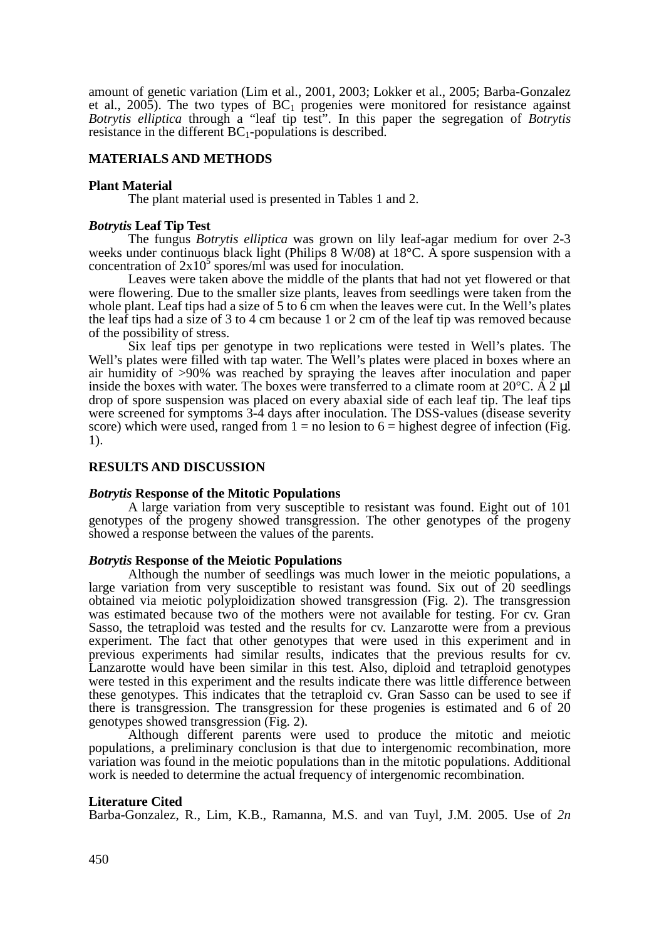amount of genetic variation (Lim et al., 2001, 2003; Lokker et al., 2005; Barba-Gonzalez et al., 2005). The two types of  $BC_1$  progenies were monitored for resistance against *Botrytis elliptica* through a "leaf tip test". In this paper the segregation of *Botrytis* resistance in the different  $BC_1$ -populations is described.

## **MATERIALS AND METHODS**

#### **Plant Material**

The plant material used is presented in Tables 1 and 2.

#### *Botrytis* **Leaf Tip Test**

The fungus *Botrytis elliptica* was grown on lily leaf-agar medium for over 2-3 weeks under continuous black light (Philips 8 W/08) at  $18^{\circ}$ C. A spore suspension with a concentration of  $2x10<sup>5</sup>$  spores/ml was used for inoculation.

Leaves were taken above the middle of the plants that had not yet flowered or that were flowering. Due to the smaller size plants, leaves from seedlings were taken from the whole plant. Leaf tips had a size of 5 to  $\vec{6}$  cm when the leaves were cut. In the Well's plates the leaf tips had a size of 3 to 4 cm because 1 or 2 cm of the leaf tip was removed because of the possibility of stress.

Six leaf tips per genotype in two replications were tested in Well's plates. The Well's plates were filled with tap water. The Well's plates were placed in boxes where an air humidity of >90% was reached by spraying the leaves after inoculation and paper inside the boxes with water. The boxes were transferred to a climate room at  $20^{\circ}$ C. A  $2 \mu$ l drop of spore suspension was placed on every abaxial side of each leaf tip. The leaf tips were screened for symptoms 3-4 days after inoculation. The DSS-values (disease severity score) which were used, ranged from  $1 =$  no lesion to  $6 =$  highest degree of infection (Fig. 1).

#### **RESULTS AND DISCUSSION**

#### *Botrytis* **Response of the Mitotic Populations**

A large variation from very susceptible to resistant was found. Eight out of 101 genotypes of the progeny showed transgression. The other genotypes of the progeny showed a response between the values of the parents.

#### *Botrytis* **Response of the Meiotic Populations**

Although the number of seedlings was much lower in the meiotic populations, a large variation from very susceptible to resistant was found. Six out of 20 seedlings obtained via meiotic polyploidization showed transgression (Fig. 2). The transgression was estimated because two of the mothers were not available for testing. For cv. Gran Sasso, the tetraploid was tested and the results for cv. Lanzarotte were from a previous experiment. The fact that other genotypes that were used in this experiment and in previous experiments had similar results, indicates that the previous results for cv. Lanzarotte would have been similar in this test. Also, diploid and tetraploid genotypes were tested in this experiment and the results indicate there was little difference between these genotypes. This indicates that the tetraploid cv. Gran Sasso can be used to see if there is transgression. The transgression for these progenies is estimated and 6 of 20 genotypes showed transgression (Fig. 2).

Although different parents were used to produce the mitotic and meiotic populations, a preliminary conclusion is that due to intergenomic recombination, more variation was found in the meiotic populations than in the mitotic populations. Additional work is needed to determine the actual frequency of intergenomic recombination.

#### **Literature Cited**

Barba-Gonzalez, R., Lim, K.B., Ramanna, M.S. and van Tuyl, J.M. 2005. Use of *2n*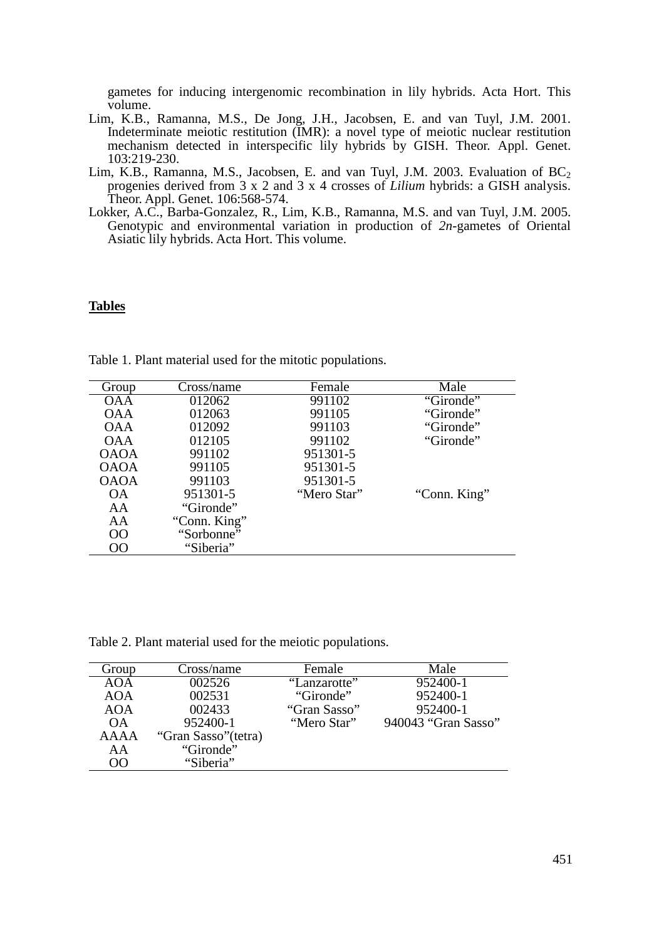gametes for inducing intergenomic recombination in lily hybrids. Acta Hort. This volume.

- Lim, K.B., Ramanna, M.S., De Jong, J.H., Jacobsen, E. and van Tuyl, J.M. 2001. Indeterminate meiotic restitution (IMR): a novel type of meiotic nuclear restitution mechanism detected in interspecific lily hybrids by GISH. Theor. Appl. Genet. 103:219-230.
- Lim, K.B., Ramanna, M.S., Jacobsen, E. and van Tuyl, J.M. 2003. Evaluation of  $BC_2$ progenies derived from 3 x 2 and 3 x 4 crosses of *Lilium* hybrids: a GISH analysis. Theor. Appl. Genet. 106:568-574.
- Lokker, A.C., Barba-Gonzalez, R., Lim, K.B., Ramanna, M.S. and van Tuyl, J.M. 2005. Genotypic and environmental variation in production of *2n*-gametes of Oriental Asiatic lily hybrids. Acta Hort. This volume.

#### **Tables**

| Group       | Cross/name   | Female      | Male         |
|-------------|--------------|-------------|--------------|
| OAA         | 012062       | 991102      | "Gironde"    |
| <b>OAA</b>  | 012063       | 991105      | "Gironde"    |
| <b>OAA</b>  | 012092       | 991103      | "Gironde"    |
| <b>OAA</b>  | 012105       | 991102      | "Gironde"    |
| <b>OAOA</b> | 991102       | 951301-5    |              |
| <b>OAOA</b> | 991105       | 951301-5    |              |
| <b>OAOA</b> | 991103       | 951301-5    |              |
| ОA          | 951301-5     | "Mero Star" | "Conn. King" |
| AA          | "Gironde"    |             |              |
| AA          | "Conn. King" |             |              |
| OO.         | "Sorbonne"   |             |              |
| $\Omega$    | "Siberia"    |             |              |
|             |              |             |              |

Table 1. Plant material used for the mitotic populations.

Table 2. Plant material used for the meiotic populations.

| Group     | Cross/name           | Female       | Male                |
|-----------|----------------------|--------------|---------------------|
| AOA       | 002526               | "Lanzarotte" | $952400 - 1$        |
| AOA       | 002531               | "Gironde"    | 952400-1            |
| AOA       | 002433               | "Gran Sasso" | 952400-1            |
| <b>OA</b> | 952400-1             | "Mero Star"  | 940043 "Gran Sasso" |
| AAAA      | "Gran Sasso" (tetra) |              |                     |
| AA        | "Gironde"            |              |                     |
| 00        | "Siberia"            |              |                     |
|           |                      |              |                     |